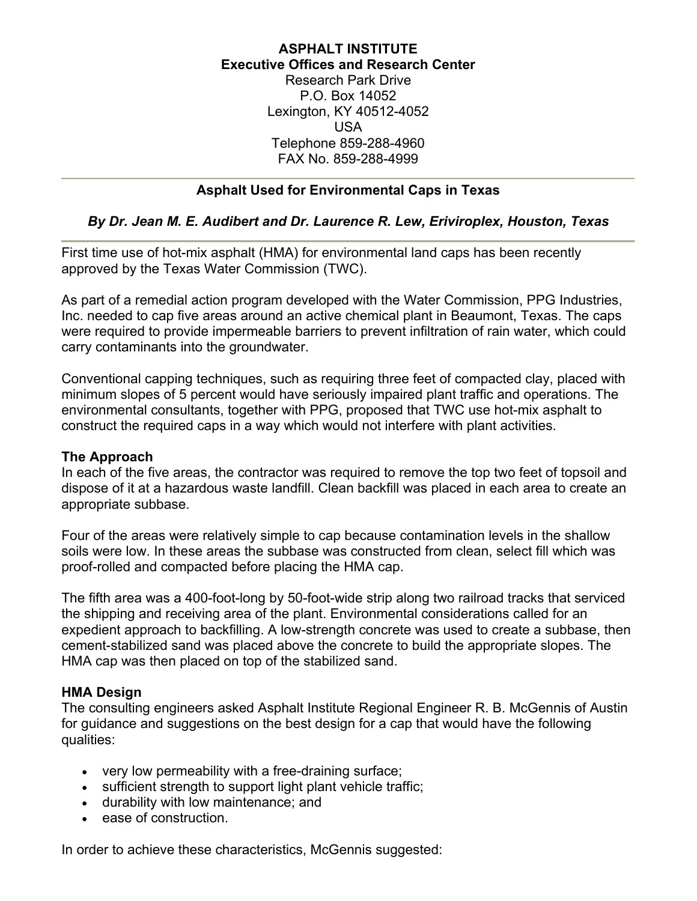#### **ASPHALT INSTITUTE Executive Offices and Research Center** Research Park Drive P.O. Box 14052 Lexington, KY 40512-4052 USA

Telephone 859-288-4960 FAX No. 859-288-4999

# **Asphalt Used for Environmental Caps in Texas**

## *By Dr. Jean M. E. Audibert and Dr. Laurence R. Lew, Eriviroplex, Houston, Texas*

First time use of hot-mix asphalt (HMA) for environmental land caps has been recently approved by the Texas Water Commission (TWC).

As part of a remedial action program developed with the Water Commission, PPG Industries, Inc. needed to cap five areas around an active chemical plant in Beaumont, Texas. The caps were required to provide impermeable barriers to prevent infiltration of rain water, which could carry contaminants into the groundwater.

Conventional capping techniques, such as requiring three feet of compacted clay, placed with minimum slopes of 5 percent would have seriously impaired plant traffic and operations. The environmental consultants, together with PPG, proposed that TWC use hot-mix asphalt to construct the required caps in a way which would not interfere with plant activities.

### **The Approach**

In each of the five areas, the contractor was required to remove the top two feet of topsoil and dispose of it at a hazardous waste landfill. Clean backfill was placed in each area to create an appropriate subbase.

Four of the areas were relatively simple to cap because contamination levels in the shallow soils were low. In these areas the subbase was constructed from clean, select fill which was proof-rolled and compacted before placing the HMA cap.

The fifth area was a 400-foot-long by 50-foot-wide strip along two railroad tracks that serviced the shipping and receiving area of the plant. Environmental considerations called for an expedient approach to backfilling. A low-strength concrete was used to create a subbase, then cement-stabilized sand was placed above the concrete to build the appropriate slopes. The HMA cap was then placed on top of the stabilized sand.

## **HMA Design**

The consulting engineers asked Asphalt Institute Regional Engineer R. B. McGennis of Austin for guidance and suggestions on the best design for a cap that would have the following qualities:

- very low permeability with a free-draining surface;
- sufficient strength to support light plant vehicle traffic;
- durability with low maintenance; and
- ease of construction.

In order to achieve these characteristics, McGennis suggested: